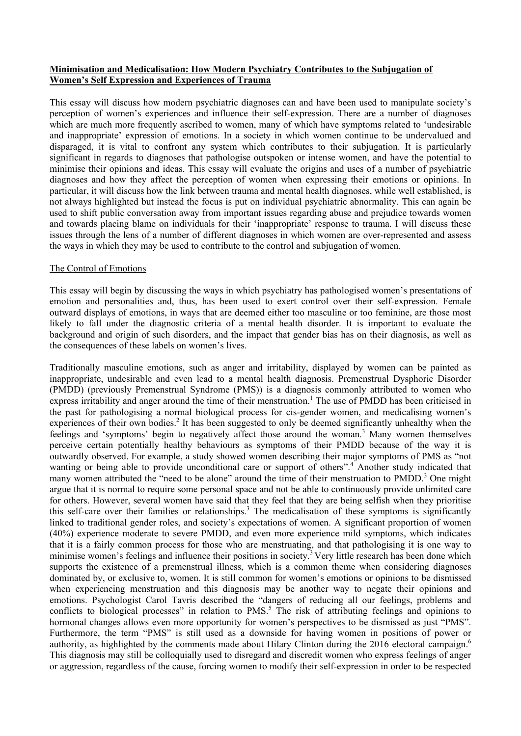## **Minimisation and Medicalisation: How Modern Psychiatry Contributes to the Subjugation of Women's Self Expression and Experiences of Trauma**

This essay will discuss how modern psychiatric diagnoses can and have been used to manipulate society's perception of women's experiences and influence their self-expression. There are a number of diagnoses which are much more frequently ascribed to women, many of which have symptoms related to 'undesirable and inappropriate' expression of emotions. In a society in which women continue to be undervalued and disparaged, it is vital to confront any system which contributes to their subjugation. It is particularly significant in regards to diagnoses that pathologise outspoken or intense women, and have the potential to minimise their opinions and ideas. This essay will evaluate the origins and uses of a number of psychiatric diagnoses and how they affect the perception of women when expressing their emotions or opinions. In particular, it will discuss how the link between trauma and mental health diagnoses, while well established, is not always highlighted but instead the focus is put on individual psychiatric abnormality. This can again be used to shift public conversation away from important issues regarding abuse and prejudice towards women and towards placing blame on individuals for their 'inappropriate' response to trauma. I will discuss these issues through the lens of a number of different diagnoses in which women are over-represented and assess the ways in which they may be used to contribute to the control and subjugation of women.

### The Control of Emotions

This essay will begin by discussing the ways in which psychiatry has pathologised women's presentations of emotion and personalities and, thus, has been used to exert control over their self-expression. Female outward displays of emotions, in ways that are deemed either too masculine or too feminine, are those most likely to fall under the diagnostic criteria of a mental health disorder. It is important to evaluate the background and origin of such disorders, and the impact that gender bias has on their diagnosis, as well as the consequences of these labels on women's lives.

Traditionally masculine emotions, such as anger and irritability, displayed by women can be painted as inappropriate, undesirable and even lead to a mental health diagnosis. Premenstrual Dysphoric Disorder (PMDD) (previously Premenstrual Syndrome (PMS)) is a diagnosis commonly attributed to women who express irritability and anger around the time of their menstruation.<sup>1</sup> The use of PMDD has been criticised in the past for pathologising a normal biological process for cis-gender women, and medicalising women's experiences of their own bodies.<sup>2</sup> It has been suggested to only be deemed significantly unhealthy when the feelings and 'symptoms' begin to negatively affect those around the woman.3 Many women themselves perceive certain potentially healthy behaviours as symptoms of their PMDD because of the way it is outwardly observed. For example, a study showed women describing their major symptoms of PMS as "not wanting or being able to provide unconditional care or support of others".<sup>4</sup> Another study indicated that many women attributed the "need to be alone" around the time of their menstruation to PMDD.<sup>3</sup> One might argue that it is normal to require some personal space and not be able to continuously provide unlimited care for others. However, several women have said that they feel that they are being selfish when they prioritise this self-care over their families or relationships.<sup>3</sup> The medicalisation of these symptoms is significantly linked to traditional gender roles, and society's expectations of women. A significant proportion of women (40%) experience moderate to severe PMDD, and even more experience mild symptoms, which indicates that it is a fairly common process for those who are menstruating, and that pathologising it is one way to minimise women's feelings and influence their positions in society.<sup>3</sup> Very little research has been done which supports the existence of a premenstrual illness, which is a common theme when considering diagnoses dominated by, or exclusive to, women. It is still common for women's emotions or opinions to be dismissed when experiencing menstruation and this diagnosis may be another way to negate their opinions and emotions. Psychologist Carol Tavris described the "dangers of reducing all our feelings, problems and conflicts to biological processes" in relation to PMS.<sup>5</sup> The risk of attributing feelings and opinions to hormonal changes allows even more opportunity for women's perspectives to be dismissed as just "PMS". Furthermore, the term "PMS" is still used as a downside for having women in positions of power or authority, as highlighted by the comments made about Hilary Clinton during the 2016 electoral campaign.<sup>6</sup> This diagnosis may still be colloquially used to disregard and discredit women who express feelings of anger or aggression, regardless of the cause, forcing women to modify their self-expression in order to be respected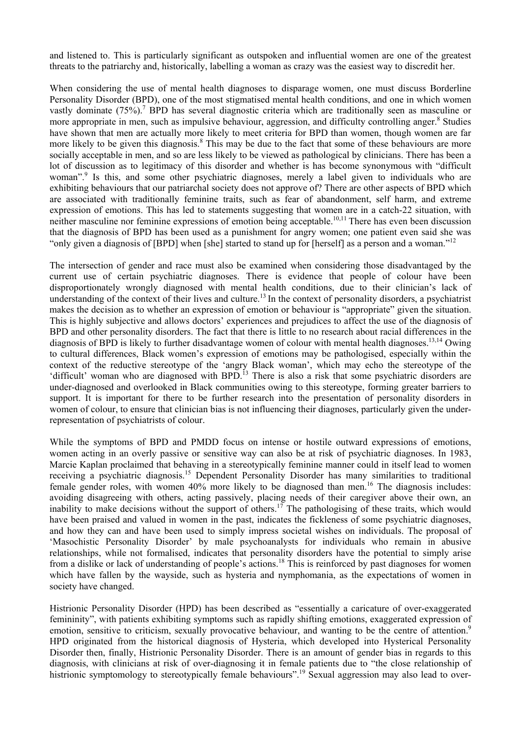and listened to. This is particularly significant as outspoken and influential women are one of the greatest threats to the patriarchy and, historically, labelling a woman as crazy was the easiest way to discredit her.

When considering the use of mental health diagnoses to disparage women, one must discuss Borderline Personality Disorder (BPD), one of the most stigmatised mental health conditions, and one in which women vastly dominate (75%).<sup>7</sup> BPD has several diagnostic criteria which are traditionally seen as masculine or more appropriate in men, such as impulsive behaviour, aggression, and difficulty controlling anger.<sup>8</sup> Studies have shown that men are actually more likely to meet criteria for BPD than women, though women are far more likely to be given this diagnosis.<sup>8</sup> This may be due to the fact that some of these behaviours are more socially acceptable in men, and so are less likely to be viewed as pathological by clinicians. There has been a lot of discussion as to legitimacy of this disorder and whether is has become synonymous with "difficult woman".<sup>9</sup> Is this, and some other psychiatric diagnoses, merely a label given to individuals who are exhibiting behaviours that our patriarchal society does not approve of? There are other aspects of BPD which are associated with traditionally feminine traits, such as fear of abandonment, self harm, and extreme expression of emotions. This has led to statements suggesting that women are in a catch-22 situation, with neither masculine nor feminine expressions of emotion being acceptable.<sup>10,11</sup> There has even been discussion that the diagnosis of BPD has been used as a punishment for angry women; one patient even said she was "only given a diagnosis of [BPD] when [she] started to stand up for [herself] as a person and a woman."<sup>12</sup>

The intersection of gender and race must also be examined when considering those disadvantaged by the current use of certain psychiatric diagnoses. There is evidence that people of colour have been disproportionately wrongly diagnosed with mental health conditions, due to their clinician's lack of understanding of the context of their lives and culture.<sup>13</sup> In the context of personality disorders, a psychiatrist makes the decision as to whether an expression of emotion or behaviour is "appropriate" given the situation. This is highly subjective and allows doctors' experiences and prejudices to affect the use of the diagnosis of BPD and other personality disorders. The fact that there is little to no research about racial differences in the diagnosis of BPD is likely to further disadvantage women of colour with mental health diagnoses.<sup>13,14</sup> Owing to cultural differences, Black women's expression of emotions may be pathologised, especially within the context of the reductive stereotype of the 'angry Black woman', which may echo the stereotype of the 'difficult' woman who are diagnosed with BPD.<sup>13</sup> There is also a risk that some psychiatric disorders are under-diagnosed and overlooked in Black communities owing to this stereotype, forming greater barriers to support. It is important for there to be further research into the presentation of personality disorders in women of colour, to ensure that clinician bias is not influencing their diagnoses, particularly given the underrepresentation of psychiatrists of colour.

While the symptoms of BPD and PMDD focus on intense or hostile outward expressions of emotions, women acting in an overly passive or sensitive way can also be at risk of psychiatric diagnoses. In 1983, Marcie Kaplan proclaimed that behaving in a stereotypically feminine manner could in itself lead to women receiving a psychiatric diagnosis.<sup>15</sup> Dependent Personality Disorder has many similarities to traditional female gender roles, with women 40% more likely to be diagnosed than men.<sup>16</sup> The diagnosis includes: avoiding disagreeing with others, acting passively, placing needs of their caregiver above their own, an inability to make decisions without the support of others.<sup>17</sup> The pathologising of these traits, which would have been praised and valued in women in the past, indicates the fickleness of some psychiatric diagnoses, and how they can and have been used to simply impress societal wishes on individuals. The proposal of 'Masochistic Personality Disorder' by male psychoanalysts for individuals who remain in abusive relationships, while not formalised, indicates that personality disorders have the potential to simply arise from a dislike or lack of understanding of people's actions.<sup>18</sup> This is reinforced by past diagnoses for women which have fallen by the wayside, such as hysteria and nymphomania, as the expectations of women in society have changed.

Histrionic Personality Disorder (HPD) has been described as "essentially a caricature of over-exaggerated femininity", with patients exhibiting symptoms such as rapidly shifting emotions, exaggerated expression of emotion, sensitive to criticism, sexually provocative behaviour, and wanting to be the centre of attention.<sup>9</sup> HPD originated from the historical diagnosis of Hysteria, which developed into Hysterical Personality Disorder then, finally, Histrionic Personality Disorder. There is an amount of gender bias in regards to this diagnosis, with clinicians at risk of over-diagnosing it in female patients due to "the close relationship of histrionic symptomology to stereotypically female behaviours".<sup>19</sup> Sexual aggression may also lead to over-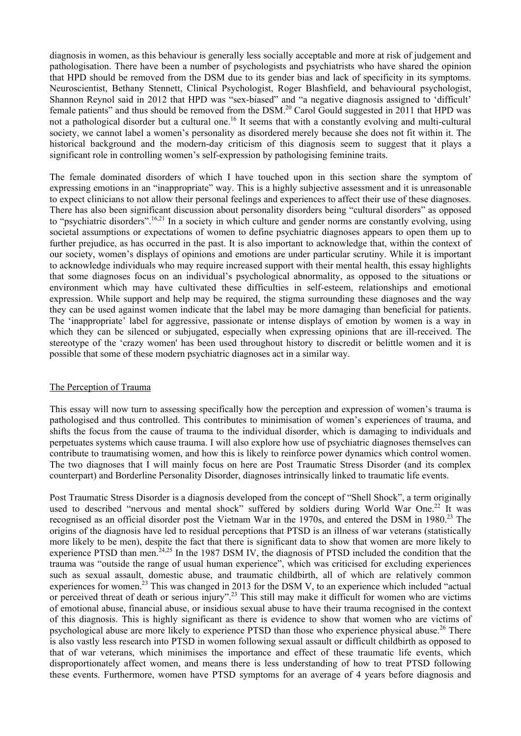diagnosis in women, as this behaviour is generally less socially acceptable and more at risk of judgement and pathologisation. There have been a number of psychologists and psychiatrists who have shared the opinion that HPD should be removed from the DSM due to its gender bias and lack of specificity in its symptoms. Neuroscientist, Bethany Stennett, Clinical Psychologist, Roger Blashfield, and behavioural psychologist, Shannon Reynol said in 2012 that HPD was "sex-biased" and "a negative diagnosis assigned to 'difficult' female patients" and thus should be removed from the DSM.<sup>20</sup> Carol Gould suggested in 2011 that HPD was not a pathological disorder but a cultural one.<sup>16</sup> It seems that with a constantly evolving and multi-cultural society, we cannot label a women's personality as disordered merely because she does not fit within it. The historical background and the modern-day criticism of this diagnosis seem to suggest that it plays a significant role in controlling women's self-expression by pathologising feminine traits.

The female dominated disorders of which I have touched upon in this section share the symptom of expressing emotions in an "inappropriate" way. This is a highly subjective assessment and it is unreasonable to expect clinicians to not allow their personal feelings and experiences to affect their use of these diagnoses. There has also been significant discussion about personality disorders being "cultural disorders" as opposed to "psychiatric disorders".<sup>16,21</sup> In a society in which culture and gender norms are constantly evolving, using societal assumptions or expectations of women to define psychiatric diagnoses appears to open them up to further prejudice, as has occurred in the past. It is also important to acknowledge that, within the context of our society, women's displays of opinions and emotions are under particular scrutiny. While it is important to acknowledge individuals who may require increased support with their mental health, this essay highlights that some diagnoses focus on an individual's psychological abnormality, as opposed to the situations or environment which may have cultivated these difficulties in self-esteem, relationships and emotional expression. While support and help may be required, the stigma surrounding these diagnoses and the way they can be used against women indicate that the label may be more damaging than beneficial for patients. The 'inappropriate' label for aggressive, passionate or intense displays of emotion by women is a way in which they can be silenced or subjugated, especially when expressing opinions that are ill-received. The stereotype of the 'crazy women' has been used throughout history to discredit or belittle women and it is possible that some of these modern psychiatric diagnoses act in a similar way.

### The Perception of Trauma

This essay will now turn to assessing specifically how the perception and expression of women's trauma is pathologised and thus controlled. This contributes to minimisation of women's experiences of trauma, and shifts the focus from the cause of trauma to the individual disorder, which is damaging to individuals and perpetuates systems which cause trauma. I will also explore how use of psychiatric diagnoses themselves can contribute to traumatising women, and how this is likely to reinforce power dynamics which control women. The two diagnoses that I will mainly focus on here are Post Traumatic Stress Disorder (and its complex counterpart) and Borderline Personality Disorder, diagnoses intrinsically linked to traumatic life events.

Post Traumatic Stress Disorder is a diagnosis developed from the concept of "Shell Shock", a term originally used to described "nervous and mental shock" suffered by soldiers during World War One.<sup>22</sup> It was recognised as an official disorder post the Vietnam War in the 1970s, and entered the DSM in 1980.<sup>23</sup> The origins of the diagnosis have led to residual perceptions that PTSD is an illness of war veterans (statistically more likely to be men), despite the fact that there is significant data to show that women are more likely to experience PTSD than men.<sup>24,25</sup> In the 1987 DSM IV, the diagnosis of PTSD included the condition that the trauma was "outside the range of usual human experience", which was criticised for excluding experiences such as sexual assault, domestic abuse, and traumatic childbirth, all of which are relatively common experiences for women.<sup>23</sup> This was changed in 2013 for the DSM V, to an experience which included "actual" or perceived threat of death or serious injury".<sup>23</sup> This still may make it difficult for women who are victims of emotional abuse, financial abuse, or insidious sexual abuse to have their trauma recognised in the context of this diagnosis. This is highly significant as there is evidence to show that women who are victims of psychological abuse are more likely to experience PTSD than those who experience physical abuse.<sup>26</sup> There is also vastly less research into PTSD in women following sexual assault or difficult childbirth as opposed to that of war veterans, which minimises the importance and effect of these traumatic life events, which disproportionately affect women, and means there is less understanding of how to treat PTSD following these events. Furthermore, women have PTSD symptoms for an average of 4 years before diagnosis and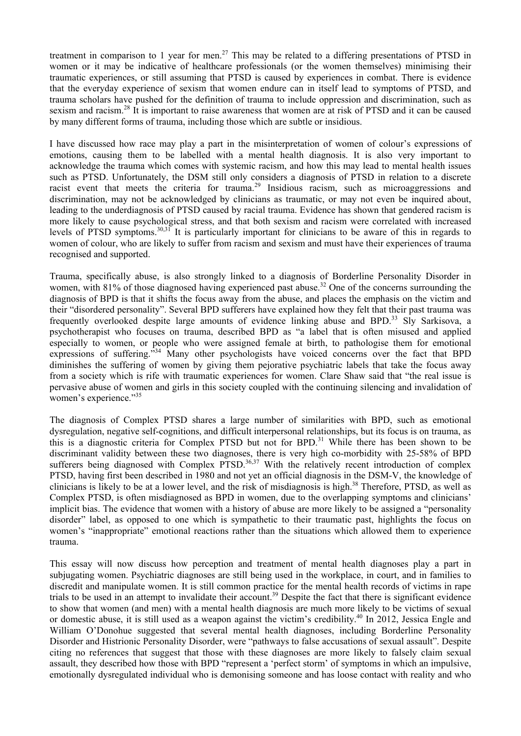treatment in comparison to 1 year for men.<sup>27</sup> This may be related to a differing presentations of PTSD in women or it may be indicative of healthcare professionals (or the women themselves) minimising their traumatic experiences, or still assuming that PTSD is caused by experiences in combat. There is evidence that the everyday experience of sexism that women endure can in itself lead to symptoms of PTSD, and trauma scholars have pushed for the definition of trauma to include oppression and discrimination, such as sexism and racism.<sup>28</sup> It is important to raise awareness that women are at risk of PTSD and it can be caused by many different forms of trauma, including those which are subtle or insidious.

I have discussed how race may play a part in the misinterpretation of women of colour's expressions of emotions, causing them to be labelled with a mental health diagnosis. It is also very important to acknowledge the trauma which comes with systemic racism, and how this may lead to mental health issues such as PTSD. Unfortunately, the DSM still only considers a diagnosis of PTSD in relation to a discrete racist event that meets the criteria for trauma.<sup>29</sup> Insidious racism, such as microaggressions and discrimination, may not be acknowledged by clinicians as traumatic, or may not even be inquired about, leading to the underdiagnosis of PTSD caused by racial trauma. Evidence has shown that gendered racism is more likely to cause psychological stress, and that both sexism and racism were correlated with increased levels of PTSD symptoms.30,31 It is particularly important for clinicians to be aware of this in regards to women of colour, who are likely to suffer from racism and sexism and must have their experiences of trauma recognised and supported.

Trauma, specifically abuse, is also strongly linked to a diagnosis of Borderline Personality Disorder in women, with 81% of those diagnosed having experienced past abuse.<sup>32</sup> One of the concerns surrounding the diagnosis of BPD is that it shifts the focus away from the abuse, and places the emphasis on the victim and their "disordered personality". Several BPD sufferers have explained how they felt that their past trauma was frequently overlooked despite large amounts of evidence linking abuse and BPD.<sup>33</sup> Sly Sarkisova, a psychotherapist who focuses on trauma, described BPD as "a label that is often misused and applied especially to women, or people who were assigned female at birth, to pathologise them for emotional expressions of suffering.<sup>334</sup> Many other psychologists have voiced concerns over the fact that BPD diminishes the suffering of women by giving them pejorative psychiatric labels that take the focus away from a society which is rife with traumatic experiences for women. Clare Shaw said that "the real issue is pervasive abuse of women and girls in this society coupled with the continuing silencing and invalidation of women's experience."<sup>35</sup>

The diagnosis of Complex PTSD shares a large number of similarities with BPD, such as emotional dysregulation, negative self-cognitions, and difficult interpersonal relationships, but its focus is on trauma, as this is a diagnostic criteria for Complex PTSD but not for BPD.<sup>31</sup> While there has been shown to be discriminant validity between these two diagnoses, there is very high co-morbidity with 25-58% of BPD sufferers being diagnosed with Complex PTSD. $36,37$  With the relatively recent introduction of complex PTSD, having first been described in 1980 and not yet an official diagnosis in the DSM-V, the knowledge of clinicians is likely to be at a lower level, and the risk of misdiagnosis is high.<sup>38</sup> Therefore, PTSD, as well as Complex PTSD, is often misdiagnosed as BPD in women, due to the overlapping symptoms and clinicians' implicit bias. The evidence that women with a history of abuse are more likely to be assigned a "personality disorder" label, as opposed to one which is sympathetic to their traumatic past, highlights the focus on women's "inappropriate" emotional reactions rather than the situations which allowed them to experience trauma.

This essay will now discuss how perception and treatment of mental health diagnoses play a part in subjugating women. Psychiatric diagnoses are still being used in the workplace, in court, and in families to discredit and manipulate women. It is still common practice for the mental health records of victims in rape trials to be used in an attempt to invalidate their account.<sup>39</sup> Despite the fact that there is significant evidence to show that women (and men) with a mental health diagnosis are much more likely to be victims of sexual or domestic abuse, it is still used as a weapon against the victim's credibility.40 In 2012, Jessica Engle and William O'Donohue suggested that several mental health diagnoses, including Borderline Personality Disorder and Histrionic Personality Disorder, were "pathways to false accusations of sexual assault". Despite citing no references that suggest that those with these diagnoses are more likely to falsely claim sexual assault, they described how those with BPD "represent a 'perfect storm' of symptoms in which an impulsive, emotionally dysregulated individual who is demonising someone and has loose contact with reality and who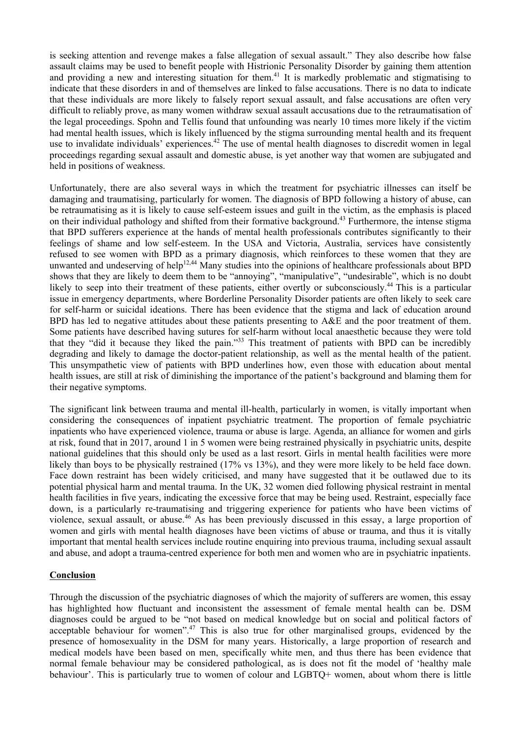is seeking attention and revenge makes a false allegation of sexual assault." They also describe how false assault claims may be used to benefit people with Histrionic Personality Disorder by gaining them attention and providing a new and interesting situation for them.<sup>41</sup> It is markedly problematic and stigmatising to indicate that these disorders in and of themselves are linked to false accusations. There is no data to indicate that these individuals are more likely to falsely report sexual assault, and false accusations are often very difficult to reliably prove, as many women withdraw sexual assault accusations due to the retraumatisation of the legal proceedings. Spohn and Tellis found that unfounding was nearly 10 times more likely if the victim had mental health issues, which is likely influenced by the stigma surrounding mental health and its frequent use to invalidate individuals' experiences.<sup>42</sup> The use of mental health diagnoses to discredit women in legal proceedings regarding sexual assault and domestic abuse, is yet another way that women are subjugated and held in positions of weakness.

Unfortunately, there are also several ways in which the treatment for psychiatric illnesses can itself be damaging and traumatising, particularly for women. The diagnosis of BPD following a history of abuse, can be retraumatising as it is likely to cause self-esteem issues and guilt in the victim, as the emphasis is placed on their individual pathology and shifted from their formative background.<sup>43</sup> Furthermore, the intense stigma that BPD sufferers experience at the hands of mental health professionals contributes significantly to their feelings of shame and low self-esteem. In the USA and Victoria, Australia, services have consistently refused to see women with BPD as a primary diagnosis, which reinforces to these women that they are unwanted and undeserving of help<sup>12,44</sup> Many studies into the opinions of healthcare professionals about BPD shows that they are likely to deem them to be "annoying", "manipulative", "undesirable", which is no doubt likely to seep into their treatment of these patients, either overtly or subconsciously.44 This is a particular issue in emergency departments, where Borderline Personality Disorder patients are often likely to seek care for self-harm or suicidal ideations. There has been evidence that the stigma and lack of education around BPD has led to negative attitudes about these patients presenting to A&E and the poor treatment of them. Some patients have described having sutures for self-harm without local anaesthetic because they were told that they "did it because they liked the pain."<sup>33</sup> This treatment of patients with BPD can be incredibly degrading and likely to damage the doctor-patient relationship, as well as the mental health of the patient. This unsympathetic view of patients with BPD underlines how, even those with education about mental health issues, are still at risk of diminishing the importance of the patient's background and blaming them for their negative symptoms.

The significant link between trauma and mental ill-health, particularly in women, is vitally important when considering the consequences of inpatient psychiatric treatment. The proportion of female psychiatric inpatients who have experienced violence, trauma or abuse is large. Agenda, an alliance for women and girls at risk, found that in 2017, around 1 in 5 women were being restrained physically in psychiatric units, despite national guidelines that this should only be used as a last resort. Girls in mental health facilities were more likely than boys to be physically restrained (17% vs 13%), and they were more likely to be held face down. Face down restraint has been widely criticised, and many have suggested that it be outlawed due to its potential physical harm and mental trauma. In the UK, 32 women died following physical restraint in mental health facilities in five years, indicating the excessive force that may be being used. Restraint, especially face down, is a particularly re-traumatising and triggering experience for patients who have been victims of violence, sexual assault, or abuse.<sup>46</sup> As has been previously discussed in this essay, a large proportion of women and girls with mental health diagnoses have been victims of abuse or trauma, and thus it is vitally important that mental health services include routine enquiring into previous trauma, including sexual assault and abuse, and adopt a trauma-centred experience for both men and women who are in psychiatric inpatients.

### **Conclusion**

Through the discussion of the psychiatric diagnoses of which the majority of sufferers are women, this essay has highlighted how fluctuant and inconsistent the assessment of female mental health can be. DSM diagnoses could be argued to be "not based on medical knowledge but on social and political factors of acceptable behaviour for women".<sup>47</sup> This is also true for other marginalised groups, evidenced by the presence of homosexuality in the DSM for many years. Historically, a large proportion of research and medical models have been based on men, specifically white men, and thus there has been evidence that normal female behaviour may be considered pathological, as is does not fit the model of 'healthy male behaviour'. This is particularly true to women of colour and LGBTQ+ women, about whom there is little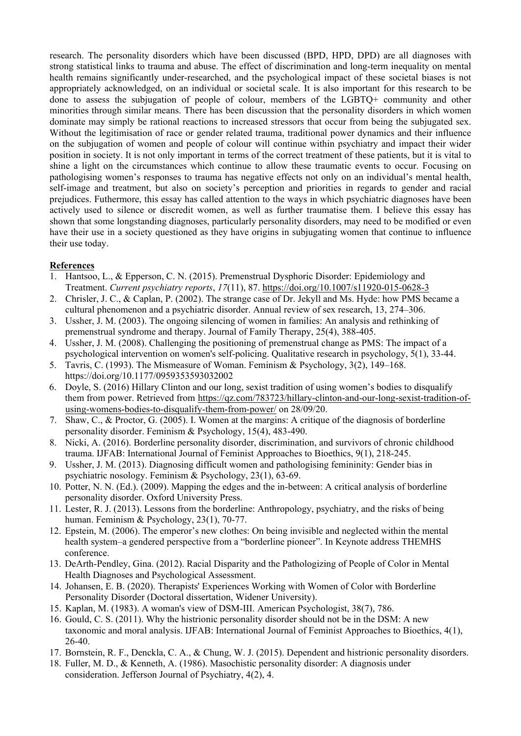research. The personality disorders which have been discussed (BPD, HPD, DPD) are all diagnoses with strong statistical links to trauma and abuse. The effect of discrimination and long-term inequality on mental health remains significantly under-researched, and the psychological impact of these societal biases is not appropriately acknowledged, on an individual or societal scale. It is also important for this research to be done to assess the subjugation of people of colour, members of the LGBTQ+ community and other minorities through similar means. There has been discussion that the personality disorders in which women dominate may simply be rational reactions to increased stressors that occur from being the subjugated sex. Without the legitimisation of race or gender related trauma, traditional power dynamics and their influence on the subjugation of women and people of colour will continue within psychiatry and impact their wider position in society. It is not only important in terms of the correct treatment of these patients, but it is vital to shine a light on the circumstances which continue to allow these traumatic events to occur. Focusing on pathologising women's responses to trauma has negative effects not only on an individual's mental health, self-image and treatment, but also on society's perception and priorities in regards to gender and racial prejudices. Futhermore, this essay has called attention to the ways in which psychiatric diagnoses have been actively used to silence or discredit women, as well as further traumatise them. I believe this essay has shown that some longstanding diagnoses, particularly personality disorders, may need to be modified or even have their use in a society questioned as they have origins in subjugating women that continue to influence their use today.

# **References**

- 1. Hantsoo, L., & Epperson, C. N. (2015). Premenstrual Dysphoric Disorder: Epidemiology and Treatment. *Current psychiatry reports*, *17*(11), 87. <https://doi.org/10.1007/s11920-015-0628-3>
- 2. Chrisler, J. C., & Caplan, P. (2002). The strange case of Dr. Jekyll and Ms. Hyde: how PMS became a cultural phenomenon and a psychiatric disorder. Annual review of sex research, 13, 274–306.
- 3. Ussher, J. M. (2003). The ongoing silencing of women in families: An analysis and rethinking of premenstrual syndrome and therapy. Journal of Family Therapy, 25(4), 388-405.
- 4. Ussher, J. M. (2008). Challenging the positioning of premenstrual change as PMS: The impact of a psychological intervention on women's self-policing. Qualitative research in psychology, 5(1), 33-44.
- 5. Tavris, C. (1993). The Mismeasure of Woman. Feminism & Psychology, 3(2), 149–168. https://doi.org/10.1177/0959353593032002
- 6. Doyle, S. (2016) Hillary Clinton and our long, sexist tradition of using women's bodies to disqualify them from power. Retrieved from [https://qz.com/783723/hillary-clinton-and-our-long-sexist-tradition-of](https://qz.com/783723/hillary-clinton-and-our-long-sexist-tradition-of-using-womens-bodies-to-disqualify-them-from-power/)[using-womens-bodies-to-disqualify-them-from-power/](https://qz.com/783723/hillary-clinton-and-our-long-sexist-tradition-of-using-womens-bodies-to-disqualify-them-from-power/) on 28/09/20.
- 7. Shaw, C., & Proctor, G. (2005). I. Women at the margins: A critique of the diagnosis of borderline personality disorder. Feminism & Psychology, 15(4), 483-490.
- 8. Nicki, A. (2016). Borderline personality disorder, discrimination, and survivors of chronic childhood trauma. IJFAB: International Journal of Feminist Approaches to Bioethics, 9(1), 218-245.
- 9. Ussher, J. M. (2013). Diagnosing difficult women and pathologising femininity: Gender bias in psychiatric nosology. Feminism & Psychology, 23(1), 63-69.
- 10. Potter, N. N. (Ed.). (2009). Mapping the edges and the in-between: A critical analysis of borderline personality disorder. Oxford University Press.
- 11. Lester, R. J. (2013). Lessons from the borderline: Anthropology, psychiatry, and the risks of being human. Feminism & Psychology, 23(1), 70-77.
- 12. Epstein, M. (2006). The emperor's new clothes: On being invisible and neglected within the mental health system–a gendered perspective from a "borderline pioneer". In Keynote address THEMHS conference.
- 13. DeArth-Pendley, Gina. (2012). Racial Disparity and the Pathologizing of People of Color in Mental Health Diagnoses and Psychological Assessment.
- 14. Johansen, E. B. (2020). Therapists' Experiences Working with Women of Color with Borderline Personality Disorder (Doctoral dissertation, Widener University).
- 15. Kaplan, M. (1983). A woman's view of DSM-III. American Psychologist, 38(7), 786.
- 16. Gould, C. S. (2011). Why the histrionic personality disorder should not be in the DSM: A new taxonomic and moral analysis. IJFAB: International Journal of Feminist Approaches to Bioethics, 4(1), 26-40.
- 17. Bornstein, R. F., Denckla, C. A., & Chung, W. J. (2015). Dependent and histrionic personality disorders.
- 18. Fuller, M. D., & Kenneth, A. (1986). Masochistic personality disorder: A diagnosis under consideration. Jefferson Journal of Psychiatry, 4(2), 4.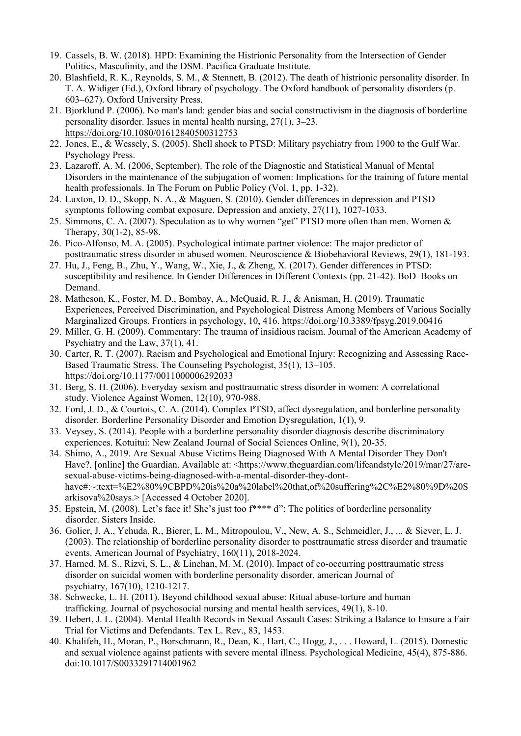- 19. Cassels, B. W. (2018). HPD: Examining the Histrionic Personality from the Intersection of Gender Politics, Masculinity, and the DSM. Pacifica Graduate Institute.
- 20. Blashfield, R. K., Reynolds, S. M., & Stennett, B. (2012). The death of histrionic personality disorder. In T. A. Widiger (Ed.), Oxford library of psychology. The Oxford handbook of personality disorders (p. 603–627). Oxford University Press.
- 21. Bjorklund P. (2006). No man's land: gender bias and social constructivism in the diagnosis of borderline personality disorder. Issues in mental health nursing, 27(1), 3–23. <https://doi.org/10.1080/01612840500312753>
- 22. Jones, E., & Wessely, S. (2005). Shell shock to PTSD: Military psychiatry from 1900 to the Gulf War. Psychology Press.
- 23. Lazaroff, A. M. (2006, September). The role of the Diagnostic and Statistical Manual of Mental Disorders in the maintenance of the subjugation of women: Implications for the training of future mental health professionals. In The Forum on Public Policy (Vol. 1, pp. 1-32).
- 24. Luxton, D. D., Skopp, N. A., & Maguen, S. (2010). Gender differences in depression and PTSD symptoms following combat exposure. Depression and anxiety, 27(11), 1027-1033.
- 25. Simmons, C. A. (2007). Speculation as to why women "get" PTSD more often than men. Women & Therapy, 30(1-2), 85-98.
- 26. Pico-Alfonso, M. A. (2005). Psychological intimate partner violence: The major predictor of posttraumatic stress disorder in abused women. Neuroscience & Biobehavioral Reviews, 29(1), 181-193.
- 27. Hu, J., Feng, B., Zhu, Y., Wang, W., Xie, J., & Zheng, X. (2017). Gender differences in PTSD: susceptibility and resilience. In Gender Differences in Different Contexts (pp. 21-42). BoD–Books on Demand.
- 28. Matheson, K., Foster, M. D., Bombay, A., McQuaid, R. J., & Anisman, H. (2019). Traumatic Experiences, Perceived Discrimination, and Psychological Distress Among Members of Various Socially Marginalized Groups. Frontiers in psychology, 10, 416. <https://doi.org/10.3389/fpsyg.2019.00416>
- 29. Miller, G. H. (2009). Commentary: The trauma of insidious racism. Journal of the American Academy of Psychiatry and the Law, 37(1), 41.
- 30. Carter, R. T. (2007). Racism and Psychological and Emotional Injury: Recognizing and Assessing Race-Based Traumatic Stress. The Counseling Psychologist, 35(1), 13–105. https://doi.org/10.1177/0011000006292033
- 31. Berg, S. H. (2006). Everyday sexism and posttraumatic stress disorder in women: A correlational study. Violence Against Women, 12(10), 970-988.
- 32. Ford, J. D., & Courtois, C. A. (2014). Complex PTSD, affect dysregulation, and borderline personality disorder. Borderline Personality Disorder and Emotion Dysregulation, 1(1), 9.
- 33. Veysey, S. (2014). People with a borderline personality disorder diagnosis describe discriminatory experiences. Kotuitui: New Zealand Journal of Social Sciences Online, 9(1), 20-35.
- 34. Shimo, A., 2019. Are Sexual Abuse Victims Being Diagnosed With A Mental Disorder They Don't Have?. [online] the Guardian. Available at: <https://www.theguardian.com/lifeandstyle/2019/mar/27/aresexual-abuse-victims-being-diagnosed-with-a-mental-disorder-they-donthave#:~:text=%E2%80%9CBPD%20is%20a%20label%20that,of%20suffering%2C%E2%80%9D%20S arkisova%20says.> [Accessed 4 October 2020].
- 35. Epstein, M. (2008). Let's face it! She's just too f\*\*\*\* d": The politics of borderline personality disorder. Sisters Inside.
- 36. Golier, J. A., Yehuda, R., Bierer, L. M., Mitropoulou, V., New, A. S., Schmeidler, J., ... & Siever, L. J. (2003). The relationship of borderline personality disorder to posttraumatic stress disorder and traumatic events. American Journal of Psychiatry, 160(11), 2018-2024.
- 37. Harned, M. S., Rizvi, S. L., & Linehan, M. M. (2010). Impact of co-occurring posttraumatic stress disorder on suicidal women with borderline personality disorder. american Journal of psychiatry, 167(10), 1210-1217.
- 38. Schwecke, L. H. (2011). Beyond childhood sexual abuse: Ritual abuse-torture and human trafficking. Journal of psychosocial nursing and mental health services, 49(1), 8-10.
- 39. Hebert, J. L. (2004). Mental Health Records in Sexual Assault Cases: Striking a Balance to Ensure a Fair Trial for Victims and Defendants. Tex L. Rev., 83, 1453.
- 40. Khalifeh, H., Moran, P., Borschmann, R., Dean, K., Hart, C., Hogg, J., . . . Howard, L. (2015). Domestic and sexual violence against patients with severe mental illness. Psychological Medicine, 45(4), 875-886. doi:10.1017/S0033291714001962